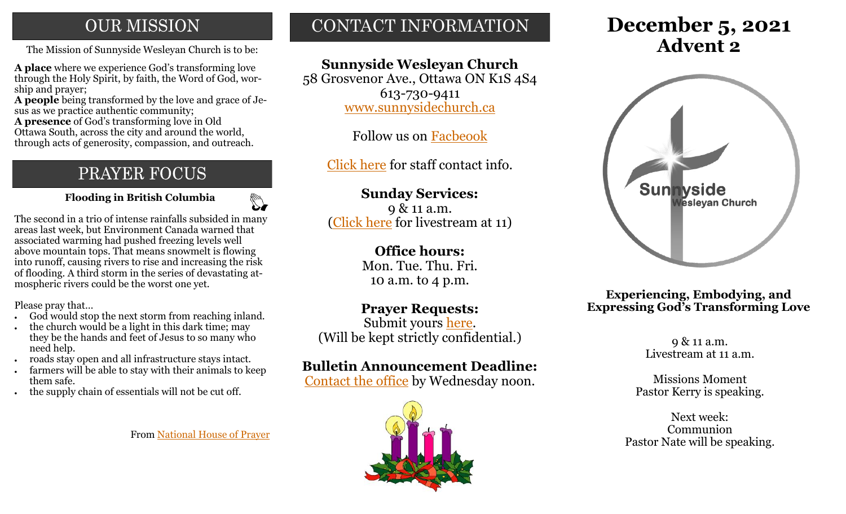## **OUR MISSION**

The Mission of Sunnyside Wesleyan Church is to be: **Advent 2** 

**A place** where we experience God's transforming love through the Holy Spirit, by faith, the Word of God, worship and prayer;

**A people** being transformed by the love and grace of Jesus as we practice authentic community;

**A presence** of God's transforming love in Old Ottawa South, across the city and around the world, through acts of generosity, compassion, and outreach.

## PRAYER FOCUS

 **Flooding in British Columbia**

 $\mathbb{Z}$ 

The second in a trio of intense rainfalls subsided in many areas last week, but Environment Canada warned that associated warming had pushed freezing levels well above mountain tops. That means snowmelt is flowing into runoff, causing rivers to rise and increasing the risk of flooding. A third storm in the series of devastating atmospheric rivers could be the worst one yet.

Please pray that…

- God would stop the next storm from reaching inland.
- the church would be a light in this dark time; may they be the hands and feet of Jesus to so many who need help.
- roads stay open and all infrastructure stays intact.
- farmers will be able to stay with their animals to keep them safe.
- the supply chain of essentials will not be cut off.

From [National House of Prayer](https://nhop.ca/)

# CONTACT INFORMATION

## **Sunnyside Wesleyan Church**

58 Grosvenor Ave., Ottawa ON K1S 4S4 613-730-9411 [www.sunnysidechurch.ca](http://www.sunnysidechurch.ca)

Follow us on [Facbeook](http://www.facebook.com/sunnysidewesleyanchurch)

[Click here](http://www.sunnysidechurch.ca/about-sunnyside/staff/) for staff contact info.

## **Sunday Services:**

9 & 11 a.m. ([Click here](https://youtube.com/channel/UCYfl9Qy37Az7fqqFQpDEwjg) for livestream at 11)

#### **Office hours:**

Mon. Tue. Thu. Fri. 10 a.m. to 4 p.m.

### **Prayer Requests:**

Submit yours [here.](mailto:prayer@sunnysidechurch.ca) (Will be kept strictly confidential.)

#### **Bulletin Announcement Deadline:**

[Contact the office](mailto:office@sunnysidechurch.ca) by Wednesday noon.



# **December 5, 2021**



**Experiencing, Embodying, and Expressing God's Transforming Love**

> 9 & 11 a.m. Livestream at 11 a.m.

Missions Moment Pastor Kerry is speaking.

Next week: Communion Pastor Nate will be speaking.